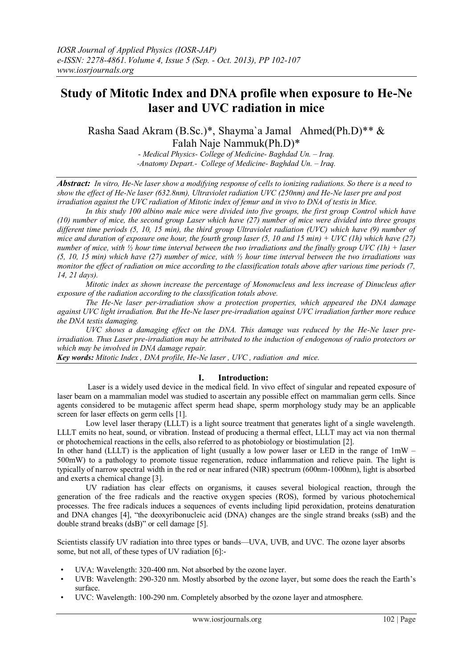# **Study of Mitotic Index and DNA profile when exposure to He-Ne laser and UVC radiation in mice**

Rasha Saad Akram (B.Sc.)\*, Shayma`a Jamal Ahmed(Ph.D)\*\* & Falah Naje Nammuk(Ph.D)\*

> *- Medical Physics- College of Medicine- Baghdad Un. – Iraq. -Anatomy Depart.- College of Medicine- Baghdad Un. – Iraq.*

*Abstract: In vitro, He-Ne laser show a modifying response of cells to ionizing radiations. So there is a need to show the effect of He-Ne laser (632.8nm), Ultraviolet radiation UVC (250nm) and He-Ne laser pre and post irradiation against the UVC radiation of Mitotic index of femur and in vivo to DNA of testis in Mice.*

*In this study 100 albino male mice were divided into five groups, the first group Control which have (10) number of mice, the second group Laser which have (27) number of mice were divided into three groups different time periods (5, 10, 15 min), the third group Ultraviolet radiation (UVC) which have (9) number of mice and duration of exposure one hour, the fourth group laser (5, 10 and 15 min) + UVC (1h) which have (27) number of mice, with ½ hour time interval between the two irradiations and the finally group UVC (1h) + laser (5, 10, 15 min) which have (27) number of mice, with ½ hour time interval between the two irradiations was monitor the effect of radiation on mice according to the classification totals above after various time periods (7, 14, 21 days).*

*Mitotic index as shown increase the percentage of Mononucleus and less increase of Dinucleus after exposure of the radiation according to the classification totals above.*

*The He-Ne laser per-irradiation show a protection properties, which appeared the DNA damage against UVC light irradiation. But the He-Ne laser pre-irradiation against UVC irradiation farther more reduce the DNA testis damaging.*

*UVC shows a damaging effect on the DNA. This damage was reduced by the He-Ne laser preirradiation. Thus Laser pre-irradiation may be attributed to the induction of endogenous of radio protectors or which may be involved in DNA damage repair.*

*Key words: Mitotic Index , DNA profile, He-Ne laser , UVC , radiation and mice.*

# **I. Introduction:**

 Laser is a widely used device in the medical field. In vivo effect of singular and repeated exposure of laser beam on a mammalian model was studied to ascertain any possible effect on mammalian germ cells. Since agents considered to be mutagenic affect sperm head shape, sperm morphology study may be an applicable screen for laser effects on germ cells [1].

Low level laser therapy (LLLT) is a light source treatment that generates light of a single wavelength. LLLT emits no heat, sound, or vibration. Instead of producing a thermal effect, LLLT may act via non thermal or photochemical reactions in the cells, also referred to as photobiology or biostimulation [2].

In other hand (LLLT) is the application of light (usually a low power laser or LED in the range of  $1mW -$ 500mW) to a pathology to promote tissue regeneration, reduce inflammation and relieve pain. The light is typically of narrow spectral width in the red or near infrared (NIR) spectrum (600nm-1000nm), light is absorbed and exerts a chemical change [3].

 UV radiation has clear effects on organisms, it causes several biological reaction, through the generation of the free radicals and the reactive oxygen species (ROS), formed by various photochemical processes. The free radicals induces a sequences of events including lipid peroxidation, proteins denaturation and DNA changes [4], "the deoxyribonucleic acid (DNA) changes are the single strand breaks (ssB) and the double strand breaks (dsB)" or cell damage [5].

Scientists classify UV radiation into three types or bands—UVA, UVB, and UVC. The ozone layer absorbs some, but not all, of these types of UV radiation [6]:-

- UVA: Wavelength: 320-400 nm. Not absorbed by the ozone layer.
- UVB: Wavelength: 290-320 nm. Mostly absorbed by the ozone layer, but some does the reach the Earth's surface.
- UVC: Wavelength: 100-290 nm. Completely absorbed by the ozone layer and atmosphere.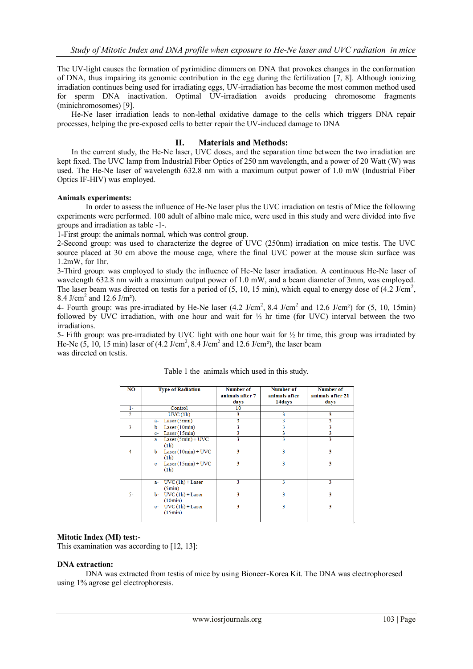The UV-light causes the formation of pyrimidine dimmers on DNA that provokes changes in the conformation of DNA, thus impairing its genomic contribution in the egg during the fertilization [7, 8]. Although ionizing irradiation continues being used for irradiating eggs, UV-irradiation has become the most common method used for sperm DNA inactivation. Optimal UV-irradiation avoids producing chromosome fragments (minichromosomes) [9].

He-Ne laser irradiation leads to non-lethal oxidative damage to the cells which triggers DNA repair processes, helping the pre-exposed cells to better repair the UV-induced damage to DNA

# **II. Materials and Methods:**

In the current study, the He-Ne laser, UVC doses, and the separation time between the two irradiation are kept fixed. The UVC lamp from Industrial Fiber Optics of 250 nm wavelength, and a power of 20 Watt (W) was used. The He-Ne laser of wavelength 632.8 nm with a maximum output power of 1.0 mW (Industrial Fiber Optics IF-HIV) was employed.

## **Animals experiments:**

In order to assess the influence of He-Ne laser plus the UVC irradiation on testis of Mice the following experiments were performed. 100 adult of albino male mice, were used in this study and were divided into five groups and irradiation as table -1-.

1-First group: the animals normal, which was control group.

2-Second group: was used to characterize the degree of UVC (250nm) irradiation on mice testis. The UVC source placed at 30 cm above the mouse cage, where the final UVC power at the mouse skin surface was 1.2mW, for 1hr.

3-Third group: was employed to study the influence of He-Ne laser irradiation. A continuous He-Ne laser of wavelength 632.8 nm with a maximum output power of 1.0 mW, and a beam diameter of 3mm, was employed. The laser beam was directed on testis for a period of  $(5, 10, 15 \text{ min})$ , which equal to energy dose of  $(4.2 \text{ J/cm}^2)$ , 8.4 J/cm<sup>2</sup> and 12.6 J/m<sup>2</sup>).

4- Fourth group: was pre-irradiated by He-Ne laser  $(4.2 \text{ J/cm}^2, 8.4 \text{ J/cm}^2 \text{ and } 12.6 \text{ J/cm}^2)$  for  $(5, 10, 15 \text{min})$ followed by UVC irradiation, with one hour and wait for  $\frac{1}{2}$  hr time (for UVC) interval between the two irradiations.

5- Fifth group: was pre-irradiated by UVC light with one hour wait for  $\frac{1}{2}$  hr time, this group was irradiated by He-Ne  $(5, 10, 15 \text{ min})$  laser of  $(4.2 \text{ J/cm}^2, 8.4 \text{ J/cm}^2$  and  $12.6 \text{ J/cm}^2$ ), the laser beam was directed on testis.

| NO    | <b>Type of Radiation</b>     | <b>Number of</b> | <b>Number of</b> | <b>Number of</b> |  |
|-------|------------------------------|------------------|------------------|------------------|--|
|       |                              | animals after 7  | animals after    | animals after 21 |  |
|       |                              | days             | 14days           | days             |  |
| $1 -$ | Control                      | 10               |                  |                  |  |
| $2 -$ | UVC(1h)                      | 3                | 3                | 3                |  |
|       | Laser (5min)<br>a-           | 3                | 3                | 3                |  |
| $3 -$ | Laser (10min)<br>b-          | 3                | 3                | 3                |  |
|       | Laser(15min)<br>$c-$         |                  | 3                | 3                |  |
|       | Laser $(5min) + UVC$<br>$a-$ | 3                | 3                | 3                |  |
|       | (1h)                         |                  |                  |                  |  |
| $4-$  | $b-$ Laser $(10min) + UVC$   | 3                | 3                | 3                |  |
|       | (1h)                         |                  |                  |                  |  |
|       | c- Laser $(15min) + UVC$     | 3                | 3                | 3                |  |
|       | (1h)                         |                  |                  |                  |  |
|       |                              |                  |                  |                  |  |
|       | $UVC(1h) + Laser$<br>a-      | 3                | 3                | 3                |  |
|       | (5min)                       |                  |                  |                  |  |
| $5-$  | $UVC(1h) + Laser$<br>b-      | 3                | 3                | 3                |  |
|       | (10min)                      |                  |                  |                  |  |
|       | c- $UVC(1h) + Laser$         | 3                | 3                | 3                |  |
|       | (15min)                      |                  |                  |                  |  |
|       |                              |                  |                  |                  |  |

## Table 1 the animals which used in this study.

#### **Mitotic Index (MI) test:-**

This examination was according to [12, 13]:

#### **DNA extraction:**

DNA was extracted from testis of mice by using Bioneer-Korea Kit. The DNA was electrophoresed using 1% agrose gel electrophoresis.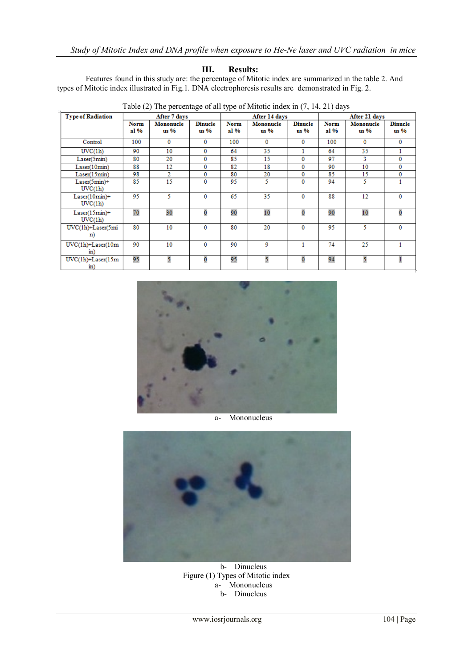# **III. Results:**

Features found in this study are: the percentage of Mitotic index are summarized in the table 2. And types of Mitotic index illustrated in Fig.1. DNA electrophoresis results are demonstrated in Fig. 2.

| Table (2) The percentage of an type of whitele muck in (7, 14, 21) days |                     |                   |                        |                     |                     |                          |                     |                   |                        |  |  |
|-------------------------------------------------------------------------|---------------------|-------------------|------------------------|---------------------|---------------------|--------------------------|---------------------|-------------------|------------------------|--|--|
| <b>Type of Radiation</b>                                                | After 7 days        |                   |                        | After 14 days       |                     | After 21 days            |                     |                   |                        |  |  |
|                                                                         | <b>Norm</b><br>al % | Mononucle<br>us % | <b>Dinucle</b><br>us % | <b>Norm</b><br>al % | Mononucle<br>$us\%$ | <b>Dinucle</b><br>$us\%$ | <b>Norm</b><br>al % | Mononucle<br>us % | <b>Dinucle</b><br>us % |  |  |
| Control                                                                 | 100                 | $\mathbf{0}$      | $\mathbf{0}$           | 100                 | $\mathbf{0}$        | 0                        | 100                 | 0                 | 0                      |  |  |
| UVC(1h)                                                                 | 90                  | 10                | $\mathbf{0}$           | 64                  | 35                  |                          | 64                  | 35                |                        |  |  |
| Laser(5min)                                                             | 80                  | 20                | $\mathbf 0$            | 85                  | 15                  | 0                        | 97                  | 3.                | 0                      |  |  |
| Laser(10min)                                                            | 88                  | 12                | $\bf{0}$               | 82                  | 18                  | 0                        | 90                  | 10                | 0                      |  |  |
| Laser(15min)                                                            | 98                  | $\overline{2}$    | $\mathbf 0$            | 80                  | 20                  | $\Omega$                 | 85                  | 15                | 0                      |  |  |
| Laser(5min)+<br>UVC(1h)                                                 | 85                  | 15                | $\mathbf{0}$           | 95                  | 5.                  | $\mathbf{0}$             | 94                  | 5                 |                        |  |  |
| $Laser(10min)+$<br>UVC(1h)                                              | 95                  | 5                 | $\bf{0}$               | 65                  | 35.                 | 0                        | 88                  | 12                | 0                      |  |  |
| $Laser(15min)+$<br>UVC(1h)                                              | 70                  | 30                | 0                      | 90                  | 10                  | 0                        | 90                  | 10                | 0                      |  |  |
| $UVC(1h) + Laser(5mi)$<br>n)                                            | 80                  | 10                | $\bf{0}$               | 80                  | 20                  | 0                        | 95                  | 5.                | 0                      |  |  |
| $UVC(1h) + Laser(10m)$<br>$\sin$ )                                      | 90                  | 10                | $\bf{0}$               | 90                  | 9                   |                          | 74                  | 25                |                        |  |  |
| $UVC(1h) + Laser(15m)$<br>$\mathbf{in}$ )                               | 95                  | 5                 | 0                      | 95                  | 5                   | 0                        | 94                  | 5                 |                        |  |  |

Table (2) The percentage of all type of Mitotic index in (7, 14, 21) days



a- Mononucleus



b- Dinucleus Figure (1) Types of Mitotic index a- Mononucleus b- Dinucleus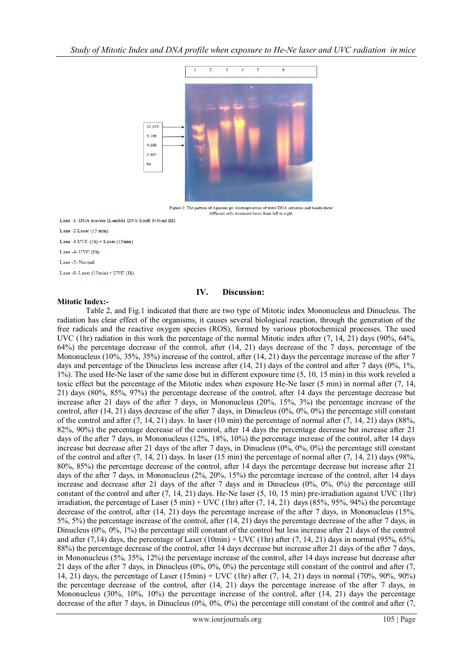

Figure 2: The pattern of Agarose gel electrophoresis of testis DNA columns and bands show different cells treatment lanes from left to right

Lane -1- DNA marker (Lambda DNA/EcoR I+Hind III)

Lane -2-Laser (15 min)

Lane -3-UVC  $(1h)$  + Laser  $(15min)$ 

Lane -4- UVC (1h)

Lane -5- Normal

Lane -6-Laser  $(15min)$  + UVC  $(1h)$ 

## **IV. Discussion:**

## **Mitotic Index:-**

Table 2, and Fig.1 indicated that there are two type of Mitotic index Mononucleus and Dinucleus. The radiation has clear effect of the organisms, it causes several biological reaction, through the generation of the free radicals and the reactive oxygen species (ROS), formed by various photochemical processes. The used UVC (1hr) radiation in this work the percentage of the normal Mitotic index after (7, 14, 21) days (90%, 64%, 64%) the percentage decrease of the control, after (14, 21) days decrease of the 7 days, percentage of the Mononucleus (10%, 35%, 35%) increase of the control, after (14, 21) days the percentage increase of the after 7 days and percentage of the Dinucleus less increase after (14, 21) days of the control and after 7 days (0%, 1%, 1%). The used He-Ne laser of the same dose but in different exposure time (5, 10, 15 min) in this work reveled a toxic effect but the percentage of the Mitotic index when exposure He-Ne laser (5 min) in normal after (7, 14, 21) days (80%, 85%, 97%) the percentage decrease of the control, after 14 days the percentage decrease but increase after 21 days of the after 7 days, in Mononucleus (20%, 15%, 3%) the percentage increase of the control, after  $(14, 21)$  days decrease of the after 7 days, in Dinucleus  $(0\%, 0\%, 0\%)$  the percentage still constant of the control and after  $(7, 14, 21)$  days. In laser  $(10 \text{ min})$  the percentage of normal after  $(7, 14, 21)$  days  $(88\%,$ 82%, 90%) the percentage decrease of the control, after 14 days the percentage decrease but increase after 21 days of the after 7 days, in Mononucleus (12%, 18%, 10%) the percentage increase of the control, after 14 days increase but decrease after 21 days of the after 7 days, in Dinucleus (0%, 0%, 0%) the percentage still constant of the control and after (7, 14, 21) days. In laser (15 min) the percentage of normal after (7, 14, 21) days (98%, 80%, 85%) the percentage decrease of the control, after 14 days the percentage decrease but increase after 21 days of the after 7 days, in Mononucleus (2%, 20%, 15%) the percentage increase of the control, after 14 days increase and decrease after 21 days of the after 7 days and in Dinucleus  $(0\% 0\% 0\% 0\%)$  the percentage still constant of the control and after (7, 14, 21) days. He-Ne laser (5, 10, 15 min) pre-irradiation against UVC (1hr) irradiation, the percentage of Laser  $(5 \text{ min}) + \text{UVC}$  (1hr) after  $(7, 14, 21)$  days  $(85\%, 95\%, 94\%)$  the percentage decrease of the control, after (14, 21) days the percentage increase of the after 7 days, in Mononucleus (15%, 5%, 5%) the percentage increase of the control, after (14, 21) days the percentage decrease of the after 7 days, in Dinucleus (0%, 0%, 1%) the percentage still constant of the control but less increase after 21 days of the control and after (7,14) days, the percentage of Laser (10min) + UVC (1hr) after (7, 14, 21) days in normal (95%, 65%, 88%) the percentage decrease of the control, after 14 days decrease but increase after 21 days of the after 7 days, in Mononucleus (5%, 35%, 12%) the percentage increase of the control, after 14 days increase but decrease after 21 days of the after 7 days, in Dinucleus (0%, 0%, 0%) the percentage still constant of the control and after (7, 14, 21) days, the percentage of Laser (15min) + UVC (1hr) after (7, 14, 21) days in normal (70%, 90%, 90%) the percentage decrease of the control, after (14, 21) days the percentage increase of the after 7 days, in Mononucleus (30%, 10%, 10%) the percentage increase of the control, after (14, 21) days the percentage decrease of the after 7 days, in Dinucleus (0%, 0%, 0%) the percentage still constant of the control and after (7,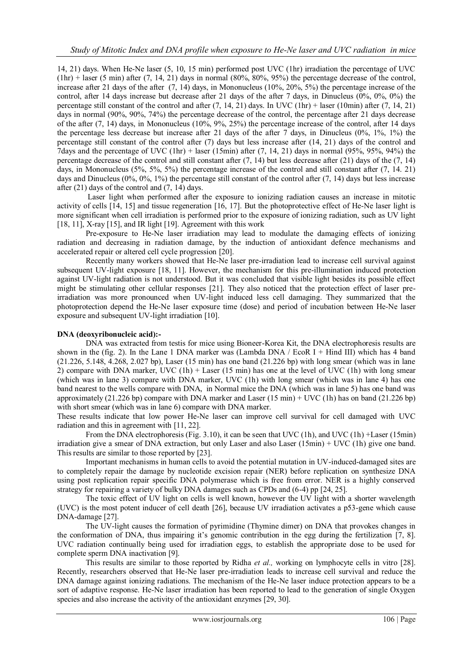14, 21) days. When He-Ne laser (5, 10, 15 min) performed post UVC (1hr) irradiation the percentage of UVC  $(hr)$  + laser (5 min) after (7, 14, 21) days in normal (80%, 80%, 95%) the percentage decrease of the control, increase after 21 days of the after (7, 14) days, in Mononucleus (10%, 20%, 5%) the percentage increase of the control, after 14 days increase but decrease after 21 days of the after 7 days, in Dinucleus (0%, 0%, 0%) the percentage still constant of the control and after  $(7, 14, 21)$  days. In UVC  $(1hr)$  + laser  $(10min)$  after  $(7, 14, 21)$ days in normal (90%, 90%, 74%) the percentage decrease of the control, the percentage after 21 days decrease of the after (7, 14) days, in Mononucleus (10%, 9%, 25%) the percentage increase of the control, after 14 days the percentage less decrease but increase after 21 days of the after 7 days, in Dinucleus (0%, 1%, 1%) the percentage still constant of the control after (7) days but less increase after (14, 21) days of the control and 7days and the percentage of UVC (1hr) + laser (15min) after  $(7, 14, 21)$  days in normal (95%, 95%, 94%) the percentage decrease of the control and still constant after  $(7, 14)$  but less decrease after  $(21)$  days of the  $(7, 14)$ days, in Mononucleus (5%, 5%, 5%) the percentage increase of the control and still constant after (7, 14. 21) days and Dinucleus  $(0\%, 0\%, 1\%)$  the percentage still constant of the control after  $(7, 14)$  days but less increase after (21) days of the control and (7, 14) days.

Laser light when performed after the exposure to ionizing radiation causes an increase in mitotic activity of cells [14, 15] and tissue regeneration [16, 17]. But the photoprotective effect of He-Ne laser light is more significant when cell irradiation is performed prior to the exposure of ionizing radiation, such as UV light [18, 11], X-ray [15], and IR light [19]. Agreement with this work

Pre-exposure to He-Ne laser irradiation may lead to modulate the damaging effects of ionizing radiation and decreasing in radiation damage, by the induction of antioxidant defence mechanisms and accelerated repair or altered cell cycle progression [20].

Recently many workers showed that He-Ne laser pre-irradiation lead to increase cell survival against subsequent UV-light exposure [18, 11]. However, the mechanism for this pre-illumination induced protection against UV-light radiation is not understood. But it was concluded that visible light besides its possible effect might be stimulating other cellular responses [21]. They also noticed that the protection effect of laser preirradiation was more pronounced when UV-light induced less cell damaging. They summarized that the photoprotection depend the He-Ne laser exposure time (dose) and period of incubation between He-Ne laser exposure and subsequent UV-light irradiation [10].

## **DNA (deoxyribonucleic acid):-**

DNA was extracted from testis for mice using Bioneer-Korea Kit, the DNA electrophoresis results are shown in the (fig. 2). In the Lane 1 DNA marker was (Lambda DNA / EcoR I + Hind III) which has 4 band (21.226, 5.148, 4.268, 2.027 bp), Laser (15 min) has one band (21.226 bp) with long smear (which was in lane 2) compare with DNA marker, UVC  $(1h)$  + Laser  $(15 \text{ min})$  has one at the level of UVC  $(1h)$  with long smear (which was in lane 3) compare with DNA marker, UVC (1h) with long smear (which was in lane 4) has one band nearest to the wells compare with DNA, in Normal mice the DNA (which was in lane 5) has one band was approximately (21.226 bp) compare with DNA marker and Laser (15 min) + UVC (1h) has on band (21.226 bp) with short smear (which was in lane 6) compare with DNA marker.

These results indicate that low power He-Ne laser can improve cell survival for cell damaged with UVC radiation and this in agreement with [11, 22].

From the DNA electrophoresis (Fig. 3.10), it can be seen that UVC (1h), and UVC (1h) +Laser (15min) irradiation give a smear of DNA extraction, but only Laser and also Laser (15min) + UVC (1h) give one band. This results are similar to those reported by [23].

Important mechanisms in human cells to avoid the potential mutation in UV-induced-damaged sites are to completely repair the damage by nucleotide excision repair (NER) before replication on synthesize DNA using post replication repair specific DNA polymerase which is free from error. NER is a highly conserved strategy for repairing a variety of bulky DNA damages such as CPDs and (6-4) pp [24, 25].

The toxic effect of UV light on cells is well known, however the UV light with a shorter wavelength (UVC) is the most potent inducer of cell death [26], because UV irradiation activates a p53-gene which cause DNA-damage [27].

The UV-light causes the formation of pyrimidine (Thymine dimer) on DNA that provokes changes in the conformation of DNA, thus impairing it's genomic contribution in the egg during the fertilization [7, 8]. UVC radiation continually being used for irradiation eggs, to establish the appropriate dose to be used for complete sperm DNA inactivation [9].

This results are similar to those reported by Ridha *et al.,* working on lymphocyte cells in vitro [28]. Recently, researchers observed that He-Ne laser pre-irradiation leads to increase cell survival and reduce the DNA damage against ionizing radiations. The mechanism of the He-Ne laser induce protection appears to be a sort of adaptive response. He-Ne laser irradiation has been reported to lead to the generation of single Oxygen species and also increase the activity of the antioxidant enzymes [29, 30].